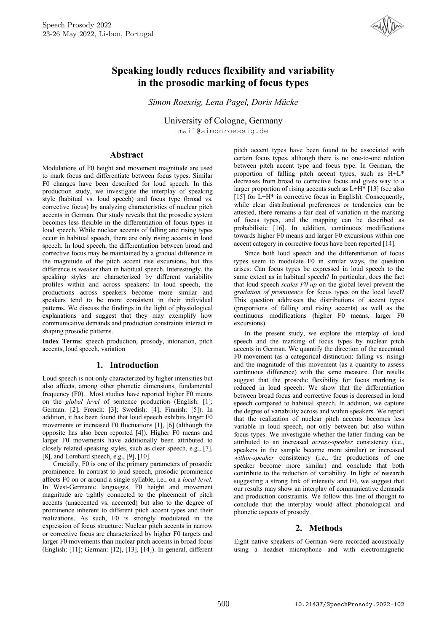

# **Speaking loudly reduces flexibility and variability in the prosodic marking of focus types**

*Simon Roessig, Lena Pagel, Doris Mücke*

University of Cologne, Germany mail@simonroessig.de

## **Abstract**

Modulations of F0 height and movement magnitude are used to mark focus and differentiate between focus types. Similar F0 changes have been described for loud speech. In this production study, we investigate the interplay of speaking style (habitual vs. loud speech) and focus type (broad vs. corrective focus) by analyzing characteristics of nuclear pitch accents in German. Our study reveals that the prosodic system becomes less flexible in the differentiation of focus types in loud speech. While nuclear accents of falling and rising types occur in habitual speech, there are only rising accents in loud speech. In loud speech, the differentiation between broad and corrective focus may be maintained by a gradual difference in the magnitude of the pitch accent rise excursions, but this difference is weaker than in habitual speech. Interestingly, the speaking styles are characterized by different variability profiles within and across speakers: In loud speech, the productions across speakers become more similar and speakers tend to be more consistent in their individual patterns. We discuss the findings in the light of physiological explanations and suggest that they may exemplify how communicative demands and production constraints interact in shaping prosodic patterns.

**Index Terms**: speech production, prosody, intonation, pitch accents, loud speech, variation

## **1. Introduction**

Loud speech is not only characterized by higher intensities but also affects, among other phonetic dimensions, fundamental frequency (F0). Most studies have reported higher F0 means on the *global level* of sentence production (English: [1]; German: [2]; French: [3]; Swedish: [4]; Finnish: [5]). In addition, it has been found that loud speech exhibits larger F0 movements or increased F0 fluctuations [1], [6] (although the opposite has also been reported [4]). Higher F0 means and larger F0 movements have additionally been attributed to closely related speaking styles, such as clear speech, e.g., [7], [8], and Lombard speech, e.g., [9], [10].

Crucially, F0 is one of the primary parameters of prosodic prominence. In contrast to loud speech, prosodic prominence affects F0 on or around a single syllable, i.e., on a *local level.* In West-Germanic languages, F0 height and movement magnitude are tightly connected to the placement of pitch accents (unaccented vs. accented) but also to the degree of prominence inherent to different pitch accent types and their realizations. As such, F0 is strongly modulated in the expression of focus structure: Nuclear pitch accents in narrow or corrective focus are characterized by higher F0 targets and larger F0 movements than nuclear pitch accents in broad focus (English: [11]; German: [12], [13], [14]). In general, different pitch accent types have been found to be associated with certain focus types, although there is no one-to-one relation between pitch accent type and focus type. In German, the proportion of falling pitch accent types, such as H+L\* decreases from broad to corrective focus and gives way to a larger proportion of rising accents such as L+H\* [13] (see also [15] for L+H\* in corrective focus in English). Consequently, while clear distributional preferences or tendencies can be attested, there remains a fair deal of variation in the marking of focus types, and the mapping can be described as probabilistic [16]. In addition, continuous modifications towards higher F0 means and larger F0 excursions within one accent category in corrective focus have been reported [14].

Since both loud speech and the differentiation of focus types seem to modulate F0 in similar ways, the question arises: Can focus types be expressed in loud speech to the same extent as in habitual speech? In particular, does the fact that loud speech *scales F0 up* on the global level prevent the *gradation of prominence* for focus types on the local level? This question addresses the distributions of accent types (proportions of falling and rising accents) as well as the continuous modifications (higher F0 means, larger F0 excursions).

In the present study, we explore the interplay of loud speech and the marking of focus types by nuclear pitch accents in German. We quantify the direction of the accentual F0 movement (as a categorical distinction: falling vs. rising) and the magnitude of this movement (as a quantity to assess continuous difference) with the same measure. Our results suggest that the prosodic flexibility for focus marking is reduced in loud speech: We show that the differentiation between broad focus and corrective focus is decreased in loud speech compared to habitual speech. In addition, we capture the degree of variability across and within speakers. We report that the realization of nuclear pitch accents becomes less variable in loud speech, not only between but also within focus types. We investigate whether the latter finding can be attributed to an increased *across-speaker* consistency (i.e., speakers in the sample become more similar) or increased *within-speaker* consistency (i.e., the productions of one speaker become more similar) and conclude that both contribute to the reduction of variability. In light of research suggesting a strong link of intensity and F0, we suggest that our results may show an interplay of communicative demands and production constraints. We follow this line of thought to conclude that the interplay would affect phonological and phonetic aspects of prosody.

## **2. Methods**

Eight native speakers of German were recorded acoustically using a headset microphone and with electromagnetic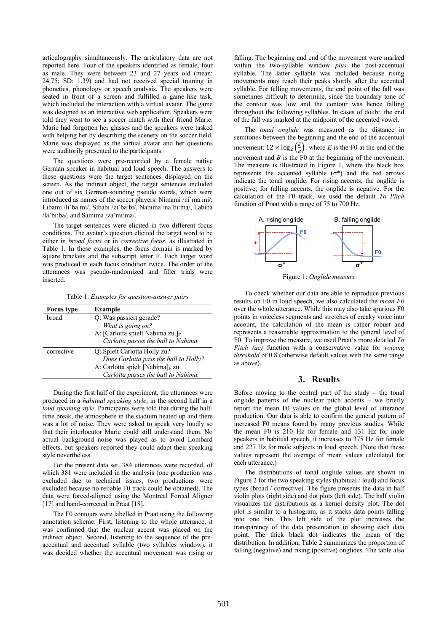articulography simultaneously. The articulatory data are not reported here. Four of the speakers identified as female, four as male. They were between 23 and 27 years old (mean: 24.75; SD: 1.39) and had not received special training in phonetics, phonology or speech analysis. The speakers were seated in front of a screen and fulfilled a game-like task, which included the interaction with a virtual avatar. The game was designed as an interactive web application. Speakers were told they went to see a soccer match with their friend Marie. Marie had forgotten her glasses and the speakers were tasked with helping her by describing the scenery on the soccer field. Marie was displayed as the virtual avatar and her questions were auditorily presented to the participants.

The questions were pre-recorded by a female native German speaker in habitual and loud speech. The answers to these questions were the target sentences displayed on the screen. As the indirect object, the target sentences included one out of six German-sounding pseudo words, which were introduced as names of the soccer players: Nimami /niˈmaːmi/, Libami /liˈbaːmi/, Sibabi /ziˈbaːbi/, Nabima /naˈbiːma/, Labiba /laˈbiːba/, and Samima /zaˈmiːma/.

The target sentences were elicited in two different focus conditions. The avatar's question elicited the target word to be either in *broad focus* or in *corrective focus*, as illustrated in Table 1. In these examples, the focus domain is marked by square brackets and the subscript letter F. Each target word was produced in each focus condition twice. The order of the utterances was pseudo-randomized and filler trials were inserted.

Table 1: *Examples for question-answer pairs*

| <b>Focus</b> type | <b>Example</b>                        |  |  |
|-------------------|---------------------------------------|--|--|
| broad             | Q: Was passiert gerade?               |  |  |
|                   | What is going on?                     |  |  |
|                   | A: [Carlotta spielt Nabima zu.]F      |  |  |
|                   | Carlotta passes the ball to Nabima.   |  |  |
| corrective        | Q: Spielt Carlotta Holly zu?          |  |  |
|                   | Does Carlotta pass the ball to Holly? |  |  |
|                   | A: Carlotta spielt [Nabima] $_F$ zu.  |  |  |
|                   | Carlotta passes the ball to Nabima.   |  |  |

During the first half of the experiment, the utterances were produced in a *habitual speaking style*, in the second half in a *loud speaking style*. Participants were told that during the halftime break, the atmosphere in the stadium heated up and there was a lot of noise. They were asked to speak very loudly so that their interlocutor Marie could still understand them. No actual background noise was played as to avoid Lombard effects, but speakers reported they could adapt their speaking style nevertheless.

For the present data set, 384 utterances were recorded, of which 381 were included in the analysis (one production was excluded due to technical issues, two productions were excluded because no reliable F0 track could be obtained). The data were forced-aligned using the Montreal Forced Aligner [17] and hand-corrected in Praat [18].

The F0 contours were labelled in Praat using the following annotation scheme: First, listening to the whole utterance, it was confirmed that the nuclear accent was placed on the indirect object. Second, listening to the sequence of the preaccentual and accentual syllable (two syllables window), it was decided whether the accentual movement was rising or falling. The beginning and end of the movement were marked within the two-syllable window *plus* the post-accentual syllable. The latter syllable was included because rising movements may reach their peaks shortly after the accented syllable. For falling movements, the end point of the fall was sometimes difficult to determine, since the boundary tone of the contour was low and the contour was hence falling throughout the following syllables. In cases of doubt, the end of the fall was marked at the midpoint of the accented vowel.

The *tonal onglide* was measured as the distance in semitones between the beginning and the end of the accentual movement:  $12 \times \log_2 \left(\frac{E}{B}\right)$  $\left(\frac{E}{B}\right)$ , where *E* is the F0 at the end of the movement and *B* is the F0 at the beginning of the movement. The measure is illustrated in Figure 1, where the black box represents the accented syllable (σ\*) and the red arrows indicate the tonal onglide. For rising accents, the onglide is positive; for falling accents, the onglide is negative. For the calculation of the F0 track, we used the default *To Pitch* function of Praat with a range of 75 to 700 Hz.



Figure 1: *Onglide measure*

To check whether our data are able to reproduce previous results on F0 in loud speech, we also calculated the *mean F0* over the whole utterance. While this may also take spurious F0 points in voiceless segments and stretches of creaky voice into account, the calculation of the mean is rather robust and represents a reasonable approximation to the general level of F0. To improve the measure, we used Praat's more detailed *To Pitch (ac)* function with a conservative value for *voicing threshold* of 0.8 (otherwise default values with the same range as above).

#### **3. Results**

Before moving to the central part of the study  $-$  the tonal onglide patterns of the nuclear pitch accents – we briefly report the mean F0 values on the global level of utterance production. Our data is able to confirm the general pattern of increased F0 means found by many previous studies. While the mean F0 is 210 Hz for female and 131 Hz for male speakers in habitual speech, it increases to 375 Hz for female and 227 Hz for male subjects in loud speech. (Note that these values represent the average of mean values calculated for each utterance.)

The distributions of tonal onglide values are shown in Figure 2 for the two speaking styles (habitual / loud) and focus types (broad / corrective). The figure presents the data in half violin plots (right side) and dot plots (left side). The half violin visualizes the distributions as a kernel density plot. The dot plot is similar to a histogram, as it stacks data points falling into one bin. This left side of the plot increases the transparency of the data presentation in showing each data point. The thick black dot indicates the mean of the distribution. In addition, Table 2 summarizes the proportion of falling (negative) and rising (positive) onglides. The table also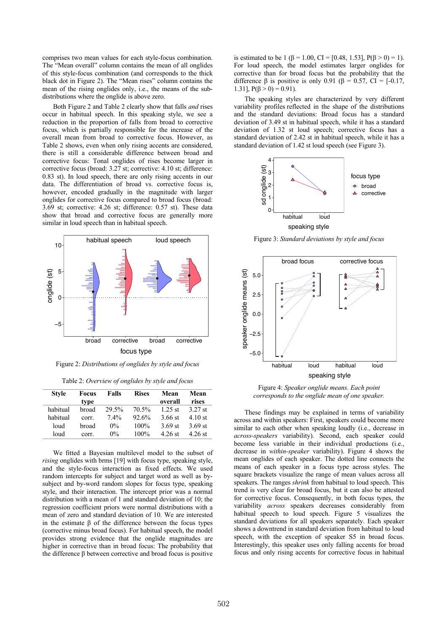comprises two mean values for each style-focus combination. The "Mean overall" column contains the mean of all onglides of this style-focus combination (and corresponds to the thick black dot in Figure 2). The "Mean rises" column contains the mean of the rising onglides only, i.e., the means of the subdistributions where the onglide is above zero.

Both Figure 2 and Table 2 clearly show that falls *and* rises occur in habitual speech. In this speaking style, we see a reduction in the proportion of falls from broad to corrective focus, which is partially responsible for the increase of the overall mean from broad to corrective focus. However, as Table 2 shows, even when only rising accents are considered, there is still a considerable difference between broad and corrective focus: Tonal onglides of rises become larger in corrective focus (broad: 3.27 st; corrective: 4.10 st; difference: 0.83 st). In loud speech, there are only rising accents in our data. The differentiation of broad vs. corrective focus is, however, encoded gradually in the magnitude with larger onglides for corrective focus compared to broad focus (broad: 3.69 st; corrective: 4.26 st; difference: 0.57 st). These data show that broad and corrective focus are generally more similar in loud speech than in habitual speech.



Figure 2: *Distributions of onglides by style and focus*

Table 2: *Overview of onglides by style and focus*

| <b>Style</b> | Focus<br>type | <b>Falls</b> | <b>Rises</b> | Mean<br>overall | Mean<br>rises |
|--------------|---------------|--------------|--------------|-----------------|---------------|
| habitual     | broad         | 29.5%        | 70.5%        | $1.25$ st       | $3.27$ st     |
| habitual     | corr.         | $7.4\%$      | 92.6%        | 3.66 st         | $4.10$ st     |
| loud         | broad         | $0\%$        | 100%         | 3.69 st         | 3.69 st       |
| loud         | corr.         | $0\%$        | 100%         | 4.26 st         | 4.26 st       |

We fitted a Bayesian multilevel model to the subset of *rising* onglides with brms [19] with focus type, speaking style, and the style-focus interaction as fixed effects. We used random intercepts for subject and target word as well as bysubject and by-word random slopes for focus type, speaking style, and their interaction. The intercept prior was a normal distribution with a mean of 1 and standard deviation of 10; the regression coefficient priors were normal distributions with a mean of zero and standard deviation of 10. We are interested in the estimate β of the difference between the focus types (corrective minus broad focus). For habitual speech, the model provides strong evidence that the onglide magnitudes are higher in corrective than in broad focus: The probability that the difference β between corrective and broad focus is positive

is estimated to be 1 ( $\beta$  = 1.00, CI = [0.48, 1.53], P( $\beta$  > 0) = 1). For loud speech, the model estimates larger onglides for corrective than for broad focus but the probability that the difference  $\beta$  is positive is only 0.91 ( $\beta = 0.57$ , CI = [-0.17, 1.31],  $P(\beta > 0) = 0.91$ .

The speaking styles are characterized by very different variability profiles reflected in the shape of the distributions and the standard deviations: Broad focus has a standard deviation of 3.49 st in habitual speech, while it has a standard deviation of 1.32 st loud speech; corrective focus has a standard deviation of 2.42 st in habitual speech, while it has a standard deviation of 1.42 st loud speech (see Figure 3).



Figure 3: *Standard deviations by style and focus*



Figure 4: *Speaker onglide means. Each point corresponds to the onglide mean of one speaker.*

These findings may be explained in terms of variability across and within speakers: First, speakers could become more similar to each other when speaking loudly (i.e., decrease in *across-speakers* variability). Second, each speaker could become less variable in their individual productions (i.e., decrease in *within-speaker* variability). Figure 4 shows the mean onglides of each speaker. The dotted line connects the means of each speaker in a focus type across styles. The square brackets visualize the range of mean values across all speakers. The ranges *shrink* from habitual to loud speech. This trend is very clear for broad focus, but it can also be attested for corrective focus. Consequently, in both focus types, the variability *across* speakers decreases considerably from habitual speech to loud speech. Figure 5 visualizes the standard deviations for all speakers separately. Each speaker shows a downtrend in standard deviation from habitual to loud speech, with the exception of speaker S5 in broad focus. Interestingly, this speaker uses only falling accents for broad focus and only rising accents for corrective focus in habitual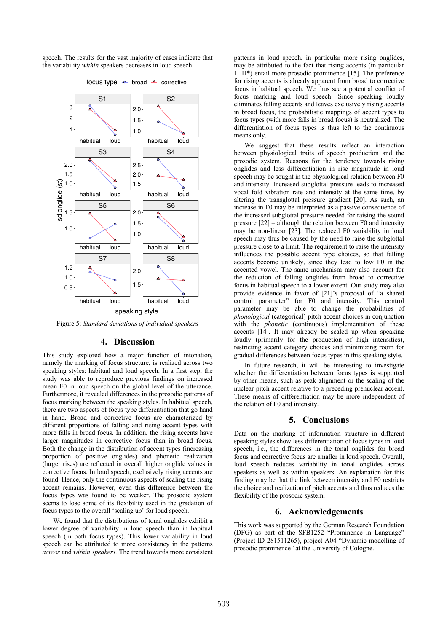speech. The results for the vast majority of cases indicate that the variability *within* speakers decreases in loud speech.



focus type  $\rightarrow$  broad  $\rightarrow$  corrective

Figure 5: *Standard deviations of individual speakers*

### **4. Discussion**

This study explored how a major function of intonation, namely the marking of focus structure, is realized across two speaking styles: habitual and loud speech. In a first step, the study was able to reproduce previous findings on increased mean F0 in loud speech on the global level of the utterance. Furthermore, it revealed differences in the prosodic patterns of focus marking between the speaking styles. In habitual speech, there are two aspects of focus type differentiation that go hand in hand. Broad and corrective focus are characterized by different proportions of falling and rising accent types with more falls in broad focus. In addition, the rising accents have larger magnitudes in corrective focus than in broad focus. Both the change in the distribution of accent types (increasing proportion of positive onglides) and phonetic realization (larger rises) are reflected in overall higher onglide values in corrective focus. In loud speech, exclusively rising accents are found. Hence, only the continuous aspects of scaling the rising accent remains. However, even this difference between the focus types was found to be weaker. The prosodic system seems to lose some of its flexibility used in the gradation of focus types to the overall 'scaling up' for loud speech.

We found that the distributions of tonal onglides exhibit a lower degree of variability in loud speech than in habitual speech (in both focus types). This lower variability in loud speech can be attributed to more consistency in the patterns *across* and *within speakers.* The trend towards more consistent patterns in loud speech, in particular more rising onglides, may be attributed to the fact that rising accents (in particular L+H\*) entail more prosodic prominence [15]. The preference for rising accents is already apparent from broad to corrective focus in habitual speech. We thus see a potential conflict of focus marking and loud speech: Since speaking loudly eliminates falling accents and leaves exclusively rising accents in broad focus, the probabilistic mappings of accent types to focus types (with more falls in broad focus) is neutralized. The differentiation of focus types is thus left to the continuous means only.

We suggest that these results reflect an interaction between physiological traits of speech production and the prosodic system. Reasons for the tendency towards rising onglides and less differentiation in rise magnitude in loud speech may be sought in the physiological relation between F0 and intensity. Increased subglottal pressure leads to increased vocal fold vibration rate and intensity at the same time, by altering the transglottal pressure gradient [20]. As such, an increase in F0 may be interpreted as a passive consequence of the increased subglottal pressure needed for raising the sound pressure  $[22]$  – although the relation between F0 and intensity may be non-linear [23]. The reduced F0 variability in loud speech may thus be caused by the need to raise the subglottal pressure close to a limit. The requirement to raise the intensity influences the possible accent type choices, so that falling accents become unlikely, since they lead to low F0 in the accented vowel. The same mechanism may also account for the reduction of falling onglides from broad to corrective focus in habitual speech to a lower extent. Our study may also provide evidence in favor of [21]'s proposal of "a shared control parameter" for F0 and intensity. This control parameter may be able to change the probabilities of *phonological* (categorical) pitch accent choices in conjunction with the *phonetic* (continuous) implementation of these accents [14]. It may already be scaled up when speaking loudly (primarily for the production of high intensities), restricting accent category choices and minimizing room for gradual differences between focus types in this speaking style.

In future research, it will be interesting to investigate whether the differentiation between focus types is supported by other means, such as peak alignment or the scaling of the nuclear pitch accent relative to a preceding prenuclear accent. These means of differentiation may be more independent of the relation of F0 and intensity.

#### **5. Conclusions**

Data on the marking of information structure in different speaking styles show less differentiation of focus types in loud speech, i.e., the differences in the tonal onglides for broad focus and corrective focus are smaller in loud speech. Overall, loud speech reduces variability in tonal onglides across speakers as well as within speakers. An explanation for this finding may be that the link between intensity and F0 restricts the choice and realization of pitch accents and thus reduces the flexibility of the prosodic system.

#### **6. Acknowledgements**

This work was supported by the German Research Foundation (DFG) as part of the SFB1252 "Prominence in Language" (Project-ID 281511265), project A04 "Dynamic modelling of prosodic prominence" at the University of Cologne.